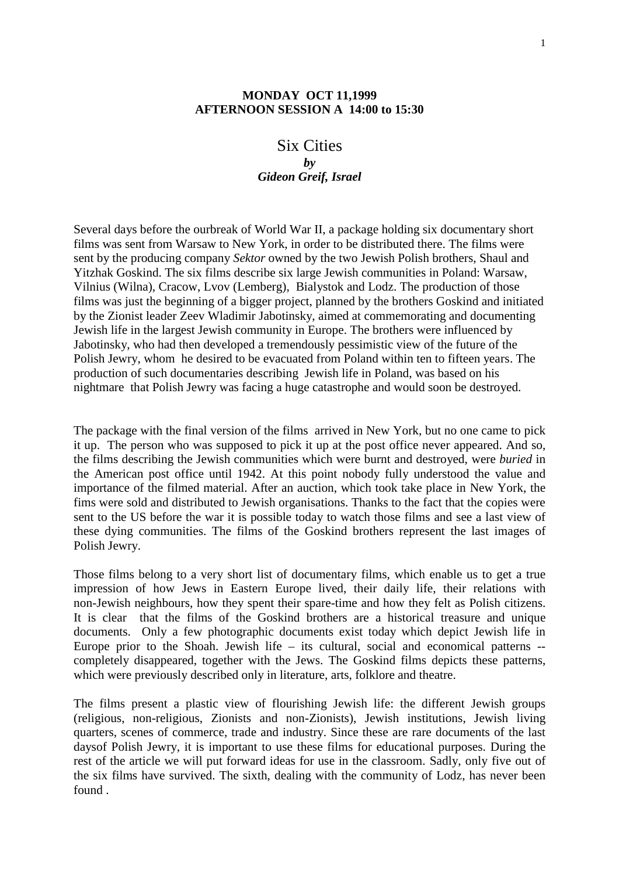## **MONDAY OCT 11,1999 AFTERNOON SESSION A 14:00 to 15:30**

# Six Cities *by Gideon Greif, Israel*

Several days before the ourbreak of World War II, a package holding six documentary short films was sent from Warsaw to New York, in order to be distributed there. The films were sent by the producing company *Sektor* owned by the two Jewish Polish brothers, Shaul and Yitzhak Goskind. The six films describe six large Jewish communities in Poland: Warsaw, Vilnius (Wilna), Cracow, Lvov (Lemberg), Bialystok and Lodz. The production of those films was just the beginning of a bigger project, planned by the brothers Goskind and initiated by the Zionist leader Zeev Wladimir Jabotinsky, aimed at commemorating and documenting Jewish life in the largest Jewish community in Europe. The brothers were influenced by Jabotinsky, who had then developed a tremendously pessimistic view of the future of the Polish Jewry, whom he desired to be evacuated from Poland within ten to fifteen years. The production of such documentaries describing Jewish life in Poland, was based on his nightmare that Polish Jewry was facing a huge catastrophe and would soon be destroyed.

The package with the final version of the films arrived in New York, but no one came to pick it up. The person who was supposed to pick it up at the post office never appeared. And so, the films describing the Jewish communities which were burnt and destroyed, were *buried* in the American post office until 1942. At this point nobody fully understood the value and importance of the filmed material. After an auction, which took take place in New York, the fims were sold and distributed to Jewish organisations. Thanks to the fact that the copies were sent to the US before the war it is possible today to watch those films and see a last view of these dying communities. The films of the Goskind brothers represent the last images of Polish Jewry.

Those films belong to a very short list of documentary films, which enable us to get a true impression of how Jews in Eastern Europe lived, their daily life, their relations with non-Jewish neighbours, how they spent their spare-time and how they felt as Polish citizens. It is clear that the films of the Goskind brothers are a historical treasure and unique documents. Only a few photographic documents exist today which depict Jewish life in Europe prior to the Shoah. Jewish life – its cultural, social and economical patterns - completely disappeared, together with the Jews. The Goskind films depicts these patterns, which were previously described only in literature, arts, folklore and theatre.

The films present a plastic view of flourishing Jewish life: the different Jewish groups (religious, non-religious, Zionists and non-Zionists), Jewish institutions, Jewish living quarters, scenes of commerce, trade and industry. Since these are rare documents of the last daysof Polish Jewry, it is important to use these films for educational purposes. During the rest of the article we will put forward ideas for use in the classroom. Sadly, only five out of the six films have survived. The sixth, dealing with the community of Lodz, has never been found .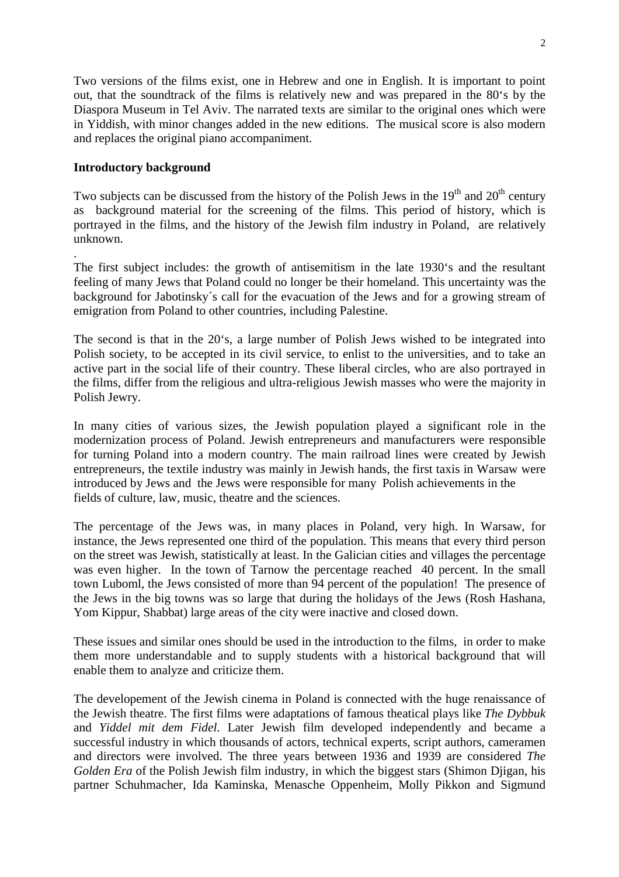Two versions of the films exist, one in Hebrew and one in English. It is important to point out, that the soundtrack of the films is relatively new and was prepared in the 80's by the Diaspora Museum in Tel Aviv. The narrated texts are similar to the original ones which were in Yiddish, with minor changes added in the new editions. The musical score is also modern and replaces the original piano accompaniment.

## **Introductory background**

.

Two subjects can be discussed from the history of the Polish Jews in the  $19<sup>th</sup>$  and  $20<sup>th</sup>$  century as background material for the screening of the films. This period of history, which is portrayed in the films, and the history of the Jewish film industry in Poland, are relatively unknown.

The first subject includes: the growth of antisemitism in the late 1930's and the resultant feeling of many Jews that Poland could no longer be their homeland. This uncertainty was the background for Jabotinsky´s call for the evacuation of the Jews and for a growing stream of emigration from Poland to other countries, including Palestine.

The second is that in the 20's, a large number of Polish Jews wished to be integrated into Polish society, to be accepted in its civil service, to enlist to the universities, and to take an active part in the social life of their country. These liberal circles, who are also portrayed in the films, differ from the religious and ultra-religious Jewish masses who were the majority in Polish Jewry.

In many cities of various sizes, the Jewish population played a significant role in the modernization process of Poland. Jewish entrepreneurs and manufacturers were responsible for turning Poland into a modern country. The main railroad lines were created by Jewish entrepreneurs, the textile industry was mainly in Jewish hands, the first taxis in Warsaw were introduced by Jews and the Jews were responsible for many Polish achievements in the fields of culture, law, music, theatre and the sciences.

The percentage of the Jews was, in many places in Poland, very high. In Warsaw, for instance, the Jews represented one third of the population. This means that every third person on the street was Jewish, statistically at least. In the Galician cities and villages the percentage was even higher. In the town of Tarnow the percentage reached 40 percent. In the small town Luboml, the Jews consisted of more than 94 percent of the population! The presence of the Jews in the big towns was so large that during the holidays of the Jews (Rosh Hashana, Yom Kippur, Shabbat) large areas of the city were inactive and closed down.

These issues and similar ones should be used in the introduction to the films, in order to make them more understandable and to supply students with a historical background that will enable them to analyze and criticize them.

The developement of the Jewish cinema in Poland is connected with the huge renaissance of the Jewish theatre. The first films were adaptations of famous theatical plays like *The Dybbuk* and *Yiddel mit dem Fidel*. Later Jewish film developed independently and became a successful industry in which thousands of actors, technical experts, script authors, cameramen and directors were involved. The three years between 1936 and 1939 are considered *The Golden Era* of the Polish Jewish film industry, in which the biggest stars (Shimon Diigan, his partner Schuhmacher, Ida Kaminska, Menasche Oppenheim, Molly Pikkon and Sigmund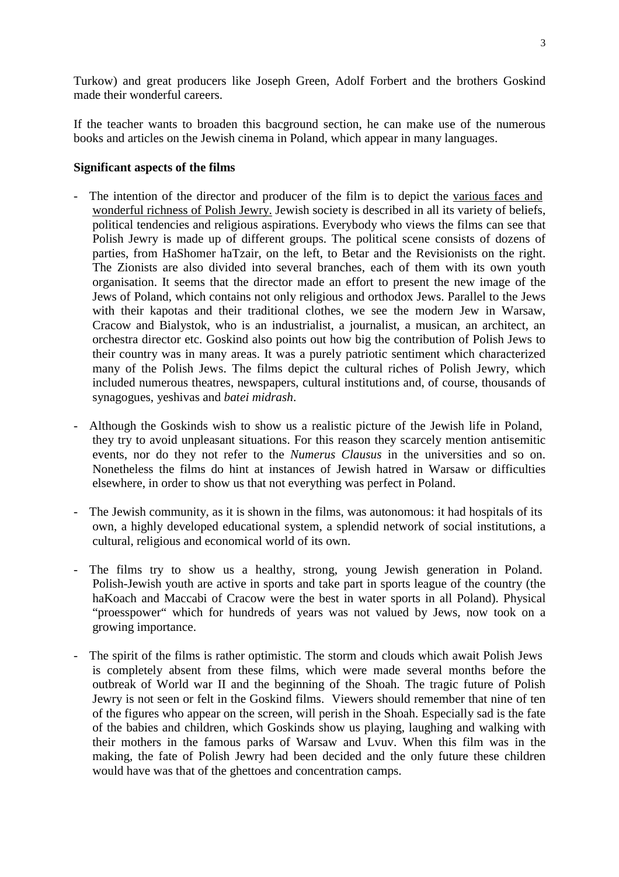Turkow) and great producers like Joseph Green, Adolf Forbert and the brothers Goskind made their wonderful careers.

If the teacher wants to broaden this bacground section, he can make use of the numerous books and articles on the Jewish cinema in Poland, which appear in many languages.

#### **Significant aspects of the films**

- The intention of the director and producer of the film is to depict the various faces and wonderful richness of Polish Jewry. Jewish society is described in all its variety of beliefs, political tendencies and religious aspirations. Everybody who views the films can see that Polish Jewry is made up of different groups. The political scene consists of dozens of parties, from HaShomer haTzair, on the left, to Betar and the Revisionists on the right. The Zionists are also divided into several branches, each of them with its own youth organisation. It seems that the director made an effort to present the new image of the Jews of Poland, which contains not only religious and orthodox Jews. Parallel to the Jews with their kapotas and their traditional clothes, we see the modern Jew in Warsaw, Cracow and Bialystok, who is an industrialist, a journalist, a musican, an architect, an orchestra director etc. Goskind also points out how big the contribution of Polish Jews to their country was in many areas. It was a purely patriotic sentiment which characterized many of the Polish Jews. The films depict the cultural riches of Polish Jewry, which included numerous theatres, newspapers, cultural institutions and, of course, thousands of synagogues, yeshivas and *batei midrash*.
- Although the Goskinds wish to show us a realistic picture of the Jewish life in Poland, they try to avoid unpleasant situations. For this reason they scarcely mention antisemitic events, nor do they not refer to the *Numerus Clausus* in the universities and so on. Nonetheless the films do hint at instances of Jewish hatred in Warsaw or difficulties elsewhere, in order to show us that not everything was perfect in Poland.
- The Jewish community, as it is shown in the films, was autonomous: it had hospitals of its own, a highly developed educational system, a splendid network of social institutions, a cultural, religious and economical world of its own.
- The films try to show us a healthy, strong, young Jewish generation in Poland. Polish-Jewish youth are active in sports and take part in sports league of the country (the haKoach and Maccabi of Cracow were the best in water sports in all Poland). Physical "proesspower" which for hundreds of years was not valued by Jews, now took on a growing importance.
- The spirit of the films is rather optimistic. The storm and clouds which await Polish Jews is completely absent from these films, which were made several months before the outbreak of World war II and the beginning of the Shoah. The tragic future of Polish Jewry is not seen or felt in the Goskind films. Viewers should remember that nine of ten of the figures who appear on the screen, will perish in the Shoah. Especially sad is the fate of the babies and children, which Goskinds show us playing, laughing and walking with their mothers in the famous parks of Warsaw and Lvuv. When this film was in the making, the fate of Polish Jewry had been decided and the only future these children would have was that of the ghettoes and concentration camps.